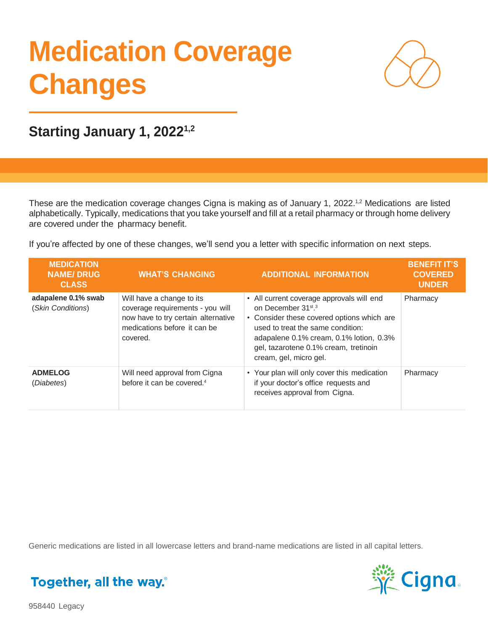# **Medication Coverage Changes**



**Starting January 1, 20221,2**

These are the medication coverage changes Cigna is making as of January 1, 2022.<sup>1,2</sup> Medications are listed alphabetically. Typically, medications that you take yourself and fill at a retail pharmacy or through home delivery are covered under the pharmacy benefit.

If you're affected by one of these changes, we'll send you a letter with specific information on next steps.

| <b>MEDICATION</b><br><b>NAME/DRUG</b><br><b>CLASS</b> | <b>WHAT'S CHANGING</b>                                                                                                                           | <b>ADDITIONAL INFORMATION</b>                                                                                                                                                                                                                                                             | <b>BENEFIT IT'S</b><br><b>COVERED</b><br><b>UNDER</b> |
|-------------------------------------------------------|--------------------------------------------------------------------------------------------------------------------------------------------------|-------------------------------------------------------------------------------------------------------------------------------------------------------------------------------------------------------------------------------------------------------------------------------------------|-------------------------------------------------------|
| adapalene 0.1% swab<br>(Skin Conditions)              | Will have a change to its<br>coverage requirements - you will<br>now have to try certain alternative<br>medications before it can be<br>covered. | • All current coverage approvals will end<br>on December 31 <sup>st</sup> . <sup>3</sup><br>• Consider these covered options which are<br>used to treat the same condition:<br>adapalene 0.1% cream, 0.1% lotion, 0.3%<br>gel, tazarotene 0.1% cream, tretinoin<br>cream, gel, micro gel. | Pharmacy                                              |
| <b>ADMELOG</b><br>(Diabetes)                          | Will need approval from Cigna<br>before it can be covered. <sup>4</sup>                                                                          | • Your plan will only cover this medication<br>if your doctor's office requests and<br>receives approval from Cigna.                                                                                                                                                                      | Pharmacy                                              |

Generic medications are listed in all lowercase letters and brand-name medications are listed in all capital letters.



Together, all the way.

958440 Legacy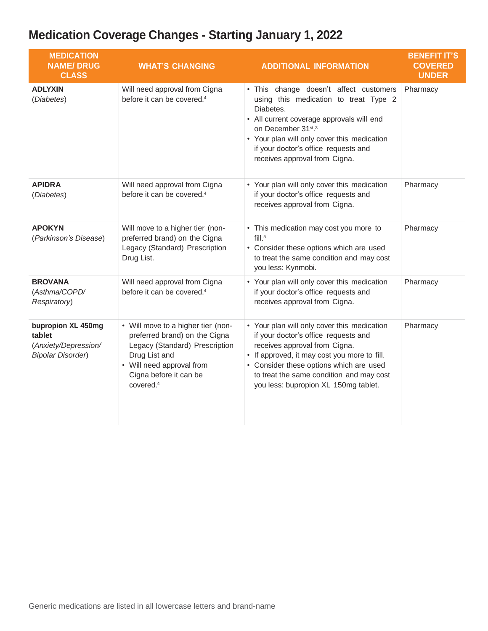| <b>MEDICATION</b><br><b>NAME/DRUG</b><br><b>CLASS</b>                            | <b>WHAT'S CHANGING</b>                                                                                                                                                                                 | <b>ADDITIONAL INFORMATION</b>                                                                                                                                                                                                                                                                                    | <b>BENEFIT IT'S</b><br><b>COVERED</b><br><b>UNDER</b> |
|----------------------------------------------------------------------------------|--------------------------------------------------------------------------------------------------------------------------------------------------------------------------------------------------------|------------------------------------------------------------------------------------------------------------------------------------------------------------------------------------------------------------------------------------------------------------------------------------------------------------------|-------------------------------------------------------|
| <b>ADLYXIN</b><br>(Diabetes)                                                     | Will need approval from Cigna<br>before it can be covered. <sup>4</sup>                                                                                                                                | • This change doesn't affect customers<br>using this medication to treat Type 2<br>Diabetes.<br>• All current coverage approvals will end<br>on December 31 <sup>st</sup> . <sup>3</sup><br>• Your plan will only cover this medication<br>if your doctor's office requests and<br>receives approval from Cigna. | Pharmacy                                              |
| <b>APIDRA</b><br>(Diabetes)                                                      | Will need approval from Cigna<br>before it can be covered. <sup>4</sup>                                                                                                                                | • Your plan will only cover this medication<br>if your doctor's office requests and<br>receives approval from Cigna.                                                                                                                                                                                             | Pharmacy                                              |
| <b>APOKYN</b><br>(Parkinson's Disease)                                           | Will move to a higher tier (non-<br>preferred brand) on the Cigna<br>Legacy (Standard) Prescription<br>Drug List.                                                                                      | • This medication may cost you more to<br>$fill.^5$<br>• Consider these options which are used<br>to treat the same condition and may cost<br>you less: Kynmobi.                                                                                                                                                 | Pharmacy                                              |
| <b>BROVANA</b><br>(Asthma/COPD/<br>Respiratory)                                  | Will need approval from Cigna<br>before it can be covered. <sup>4</sup>                                                                                                                                | • Your plan will only cover this medication<br>if your doctor's office requests and<br>receives approval from Cigna.                                                                                                                                                                                             | Pharmacy                                              |
| bupropion XL 450mg<br>tablet<br>(Anxiety/Depression/<br><b>Bipolar Disorder)</b> | • Will move to a higher tier (non-<br>preferred brand) on the Cigna<br>Legacy (Standard) Prescription<br>Drug List and<br>• Will need approval from<br>Cigna before it can be<br>covered. <sup>4</sup> | • Your plan will only cover this medication<br>if your doctor's office requests and<br>receives approval from Cigna.<br>• If approved, it may cost you more to fill.<br>• Consider these options which are used<br>to treat the same condition and may cost<br>you less: bupropion XL 150mg tablet.              | Pharmacy                                              |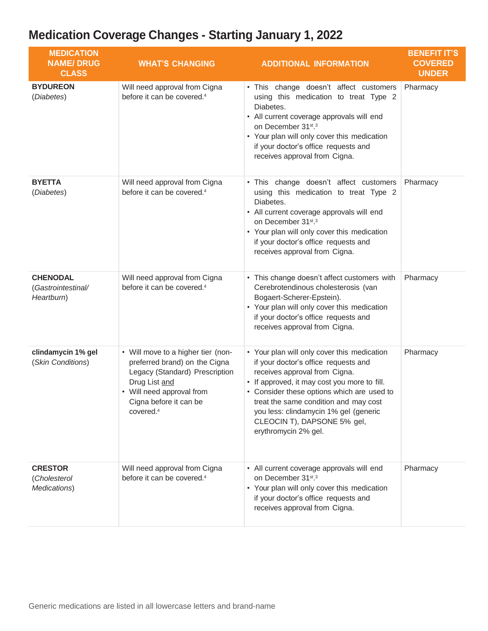| <b>MEDICATION</b><br><b>NAME/DRUG</b><br><b>CLASS</b> | <b>WHAT'S CHANGING</b>                                                                                                                                                                                 | <b>ADDITIONAL INFORMATION</b>                                                                                                                                                                                                                                                                                                                               | <b>BENEFIT IT'S</b><br><b>COVERED</b><br><b>UNDER</b> |
|-------------------------------------------------------|--------------------------------------------------------------------------------------------------------------------------------------------------------------------------------------------------------|-------------------------------------------------------------------------------------------------------------------------------------------------------------------------------------------------------------------------------------------------------------------------------------------------------------------------------------------------------------|-------------------------------------------------------|
| <b>BYDUREON</b><br>(Diabetes)                         | Will need approval from Cigna<br>before it can be covered. <sup>4</sup>                                                                                                                                | . This change doesn't affect customers<br>using this medication to treat Type 2<br>Diabetes.<br>• All current coverage approvals will end<br>on December 31st.3<br>• Your plan will only cover this medication<br>if your doctor's office requests and<br>receives approval from Cigna.                                                                     | Pharmacy                                              |
| <b>BYETTA</b><br>(Diabetes)                           | Will need approval from Cigna<br>before it can be covered. <sup>4</sup>                                                                                                                                | . This change doesn't affect customers<br>using this medication to treat Type 2<br>Diabetes.<br>• All current coverage approvals will end<br>on December 31st.3<br>• Your plan will only cover this medication<br>if your doctor's office requests and<br>receives approval from Cigna.                                                                     | Pharmacy                                              |
| <b>CHENODAL</b><br>(Gastrointestinal/<br>Heartburn)   | Will need approval from Cigna<br>before it can be covered. <sup>4</sup>                                                                                                                                | • This change doesn't affect customers with<br>Cerebrotendinous cholesterosis (van<br>Bogaert-Scherer-Epstein).<br>• Your plan will only cover this medication<br>if your doctor's office requests and<br>receives approval from Cigna.                                                                                                                     | Pharmacy                                              |
| clindamycin 1% gel<br>(Skin Conditions)               | • Will move to a higher tier (non-<br>preferred brand) on the Cigna<br>Legacy (Standard) Prescription<br>Drug List and<br>• Will need approval from<br>Cigna before it can be<br>covered. <sup>4</sup> | • Your plan will only cover this medication<br>if your doctor's office requests and<br>receives approval from Cigna.<br>• If approved, it may cost you more to fill.<br>• Consider these options which are used to<br>treat the same condition and may cost<br>you less: clindamycin 1% gel (generic<br>CLEOCIN T), DAPSONE 5% gel,<br>erythromycin 2% gel. | Pharmacy                                              |
| <b>CRESTOR</b><br>(Cholesterol<br>Medications)        | Will need approval from Cigna<br>before it can be covered. <sup>4</sup>                                                                                                                                | • All current coverage approvals will end<br>on December 31st.3<br>• Your plan will only cover this medication<br>if your doctor's office requests and<br>receives approval from Cigna.                                                                                                                                                                     | Pharmacy                                              |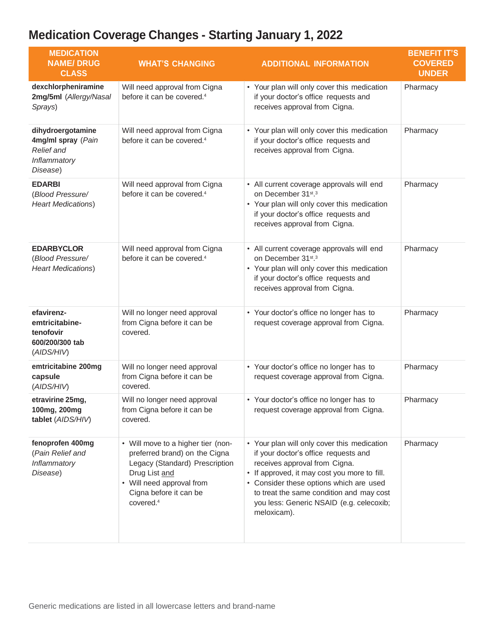| <b>MEDICATION</b><br><b>NAME/DRUG</b><br><b>CLASS</b>                                    | <b>WHAT'S CHANGING</b>                                                                                                                                                                                 | <b>ADDITIONAL INFORMATION</b>                                                                                                                                                                                                                                                                                          | <b>BENEFIT IT'S</b><br><b>COVERED</b><br><b>UNDER</b> |
|------------------------------------------------------------------------------------------|--------------------------------------------------------------------------------------------------------------------------------------------------------------------------------------------------------|------------------------------------------------------------------------------------------------------------------------------------------------------------------------------------------------------------------------------------------------------------------------------------------------------------------------|-------------------------------------------------------|
| dexchlorpheniramine<br>2mg/5ml (Allergy/Nasal<br>Sprays)                                 | Will need approval from Cigna<br>before it can be covered. <sup>4</sup>                                                                                                                                | • Your plan will only cover this medication<br>if your doctor's office requests and<br>receives approval from Cigna.                                                                                                                                                                                                   | Pharmacy                                              |
| dihydroergotamine<br>4mg/ml spray (Pain<br><b>Relief</b> and<br>Inflammatory<br>Disease) | Will need approval from Cigna<br>before it can be covered. <sup>4</sup>                                                                                                                                | • Your plan will only cover this medication<br>if your doctor's office requests and<br>receives approval from Cigna.                                                                                                                                                                                                   | Pharmacy                                              |
| <b>EDARBI</b><br>(Blood Pressure/<br><b>Heart Medications)</b>                           | Will need approval from Cigna<br>before it can be covered. <sup>4</sup>                                                                                                                                | • All current coverage approvals will end<br>on December 31st.3<br>• Your plan will only cover this medication<br>if your doctor's office requests and<br>receives approval from Cigna.                                                                                                                                | Pharmacy                                              |
| <b>EDARBYCLOR</b><br>(Blood Pressure/<br><b>Heart Medications)</b>                       | Will need approval from Cigna<br>before it can be covered. <sup>4</sup>                                                                                                                                | • All current coverage approvals will end<br>on December 31st.3<br>• Your plan will only cover this medication<br>if your doctor's office requests and<br>receives approval from Cigna.                                                                                                                                | Pharmacy                                              |
| efavirenz-<br>emtricitabine-<br>tenofovir<br>600/200/300 tab<br>(AIDS/HIV)               | Will no longer need approval<br>from Cigna before it can be<br>covered.                                                                                                                                | • Your doctor's office no longer has to<br>request coverage approval from Cigna.                                                                                                                                                                                                                                       | Pharmacy                                              |
| emtricitabine 200mg<br>capsule<br>(AIDS/HIV)                                             | Will no longer need approval<br>from Cigna before it can be<br>covered.                                                                                                                                | • Your doctor's office no longer has to<br>request coverage approval from Cigna.                                                                                                                                                                                                                                       | Pharmacy                                              |
| etravirine 25mg,<br>100mg, 200mg<br>tablet (AIDS/HIV)                                    | Will no longer need approval<br>from Cigna before it can be<br>covered.                                                                                                                                | • Your doctor's office no longer has to<br>request coverage approval from Cigna.                                                                                                                                                                                                                                       | Pharmacy                                              |
| fenoprofen 400mg<br>(Pain Relief and<br>Inflammatory<br>Disease)                         | • Will move to a higher tier (non-<br>preferred brand) on the Cigna<br>Legacy (Standard) Prescription<br>Drug List and<br>• Will need approval from<br>Cigna before it can be<br>covered. <sup>4</sup> | • Your plan will only cover this medication<br>if your doctor's office requests and<br>receives approval from Cigna.<br>• If approved, it may cost you more to fill.<br>• Consider these options which are used<br>to treat the same condition and may cost<br>you less: Generic NSAID (e.g. celecoxib;<br>meloxicam). | Pharmacy                                              |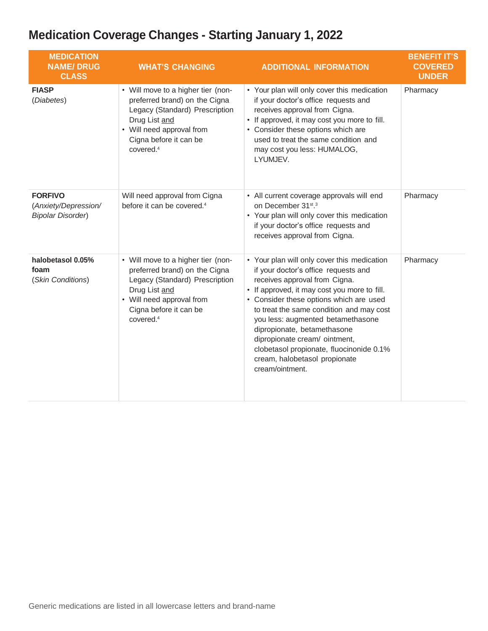| <b>MEDICATION</b><br><b>NAME/DRUG</b><br><b>CLASS</b>              | <b>WHAT'S CHANGING</b>                                                                                                                                                                                 | <b>ADDITIONAL INFORMATION</b>                                                                                                                                                                                                                                                                                                                                                                                                                                    | <b>BENEFIT IT'S</b><br><b>COVERED</b><br><b>UNDER</b> |
|--------------------------------------------------------------------|--------------------------------------------------------------------------------------------------------------------------------------------------------------------------------------------------------|------------------------------------------------------------------------------------------------------------------------------------------------------------------------------------------------------------------------------------------------------------------------------------------------------------------------------------------------------------------------------------------------------------------------------------------------------------------|-------------------------------------------------------|
| <b>FIASP</b><br>(Diabetes)                                         | • Will move to a higher tier (non-<br>preferred brand) on the Cigna<br>Legacy (Standard) Prescription<br>Drug List and<br>• Will need approval from<br>Cigna before it can be<br>covered. <sup>4</sup> | • Your plan will only cover this medication<br>if your doctor's office requests and<br>receives approval from Cigna.<br>• If approved, it may cost you more to fill.<br>• Consider these options which are<br>used to treat the same condition and<br>may cost you less: HUMALOG,<br>LYUMJEV.                                                                                                                                                                    | Pharmacy                                              |
| <b>FORFIVO</b><br>(Anxiety/Depression/<br><b>Bipolar Disorder)</b> | Will need approval from Cigna<br>before it can be covered. <sup>4</sup>                                                                                                                                | • All current coverage approvals will end<br>on December 31 <sup>st</sup> . <sup>3</sup><br>• Your plan will only cover this medication<br>if your doctor's office requests and<br>receives approval from Cigna.                                                                                                                                                                                                                                                 | Pharmacy                                              |
| halobetasol 0.05%<br>foam<br>(Skin Conditions)                     | • Will move to a higher tier (non-<br>preferred brand) on the Cigna<br>Legacy (Standard) Prescription<br>Drug List and<br>• Will need approval from<br>Cigna before it can be<br>covered. <sup>4</sup> | • Your plan will only cover this medication<br>if your doctor's office requests and<br>receives approval from Cigna.<br>• If approved, it may cost you more to fill.<br>• Consider these options which are used<br>to treat the same condition and may cost<br>you less: augmented betamethasone<br>dipropionate, betamethasone<br>dipropionate cream/ ointment,<br>clobetasol propionate, fluocinonide 0.1%<br>cream, halobetasol propionate<br>cream/ointment. | Pharmacy                                              |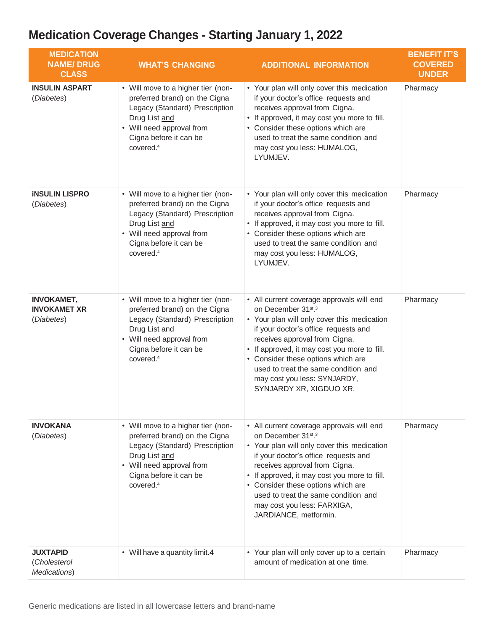| <b>MEDICATION</b><br><b>NAME/DRUG</b><br><b>CLASS</b>  | <b>WHAT'S CHANGING</b>                                                                                                                                                                                 | <b>ADDITIONAL INFORMATION</b>                                                                                                                                                                                                                                                                                                                                                                             | <b>BENEFIT IT'S</b><br><b>COVERED</b><br><b>UNDER</b> |
|--------------------------------------------------------|--------------------------------------------------------------------------------------------------------------------------------------------------------------------------------------------------------|-----------------------------------------------------------------------------------------------------------------------------------------------------------------------------------------------------------------------------------------------------------------------------------------------------------------------------------------------------------------------------------------------------------|-------------------------------------------------------|
| <b>INSULIN ASPART</b><br>(Diabetes)                    | • Will move to a higher tier (non-<br>preferred brand) on the Cigna<br>Legacy (Standard) Prescription<br>Drug List and<br>• Will need approval from<br>Cigna before it can be<br>covered. <sup>4</sup> | • Your plan will only cover this medication<br>if your doctor's office requests and<br>receives approval from Cigna.<br>• If approved, it may cost you more to fill.<br>• Consider these options which are<br>used to treat the same condition and<br>may cost you less: HUMALOG,<br>LYUMJEV.                                                                                                             | Pharmacy                                              |
| <b>INSULIN LISPRO</b><br>(Diabetes)                    | • Will move to a higher tier (non-<br>preferred brand) on the Cigna<br>Legacy (Standard) Prescription<br>Drug List and<br>• Will need approval from<br>Cigna before it can be<br>covered. <sup>4</sup> | • Your plan will only cover this medication<br>if your doctor's office requests and<br>receives approval from Cigna.<br>• If approved, it may cost you more to fill.<br>• Consider these options which are<br>used to treat the same condition and<br>may cost you less: HUMALOG,<br>LYUMJEV.                                                                                                             | Pharmacy                                              |
| <b>INVOKAMET,</b><br><b>INVOKAMET XR</b><br>(Diabetes) | • Will move to a higher tier (non-<br>preferred brand) on the Cigna<br>Legacy (Standard) Prescription<br>Drug List and<br>• Will need approval from<br>Cigna before it can be<br>covered. <sup>4</sup> | • All current coverage approvals will end<br>on December 31 <sup>st</sup> . <sup>3</sup><br>• Your plan will only cover this medication<br>if your doctor's office requests and<br>receives approval from Cigna.<br>• If approved, it may cost you more to fill.<br>• Consider these options which are<br>used to treat the same condition and<br>may cost you less: SYNJARDY,<br>SYNJARDY XR, XIGDUO XR. | Pharmacy                                              |
| <b>INVOKANA</b><br>(Diabetes)                          | • Will move to a higher tier (non-<br>preferred brand) on the Cigna<br>Legacy (Standard) Prescription<br>Drug List and<br>• Will need approval from<br>Cigna before it can be<br>covered. <sup>4</sup> | • All current coverage approvals will end<br>on December 31 <sup>st</sup> . <sup>3</sup><br>• Your plan will only cover this medication<br>if your doctor's office requests and<br>receives approval from Cigna.<br>• If approved, it may cost you more to fill.<br>• Consider these options which are<br>used to treat the same condition and<br>may cost you less: FARXIGA,<br>JARDIANCE, metformin.    | Pharmacy                                              |
| <b>JUXTAPID</b><br>(Cholesterol<br>Medications)        | • Will have a quantity limit.4                                                                                                                                                                         | • Your plan will only cover up to a certain<br>amount of medication at one time.                                                                                                                                                                                                                                                                                                                          | Pharmacy                                              |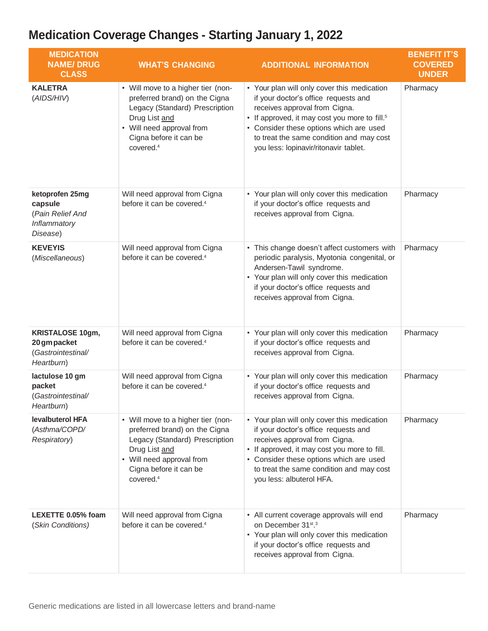| <b>MEDICATION</b><br><b>NAME/DRUG</b><br><b>CLASS</b>                       | <b>WHAT'S CHANGING</b>                                                                                                                                                                                 | <b>ADDITIONAL INFORMATION</b>                                                                                                                                                                                                                                                                                     | <b>BENEFIT IT'S</b><br><b>COVERED</b><br><b>UNDER</b> |
|-----------------------------------------------------------------------------|--------------------------------------------------------------------------------------------------------------------------------------------------------------------------------------------------------|-------------------------------------------------------------------------------------------------------------------------------------------------------------------------------------------------------------------------------------------------------------------------------------------------------------------|-------------------------------------------------------|
| <b>KALETRA</b><br>(AIDS/HIV)                                                | • Will move to a higher tier (non-<br>preferred brand) on the Cigna<br>Legacy (Standard) Prescription<br>Drug List and<br>• Will need approval from<br>Cigna before it can be<br>covered. <sup>4</sup> | • Your plan will only cover this medication<br>if your doctor's office requests and<br>receives approval from Cigna.<br>• If approved, it may cost you more to fill. <sup>5</sup><br>• Consider these options which are used<br>to treat the same condition and may cost<br>you less: lopinavir/ritonavir tablet. | Pharmacy                                              |
| ketoprofen 25mg<br>capsule<br>(Pain Relief And<br>Inflammatory<br>Disease)  | Will need approval from Cigna<br>before it can be covered. <sup>4</sup>                                                                                                                                | • Your plan will only cover this medication<br>if your doctor's office requests and<br>receives approval from Cigna.                                                                                                                                                                                              | Pharmacy                                              |
| <b>KEVEYIS</b><br>(Miscellaneous)                                           | Will need approval from Cigna<br>before it can be covered. <sup>4</sup>                                                                                                                                | • This change doesn't affect customers with<br>periodic paralysis, Myotonia congenital, or<br>Andersen-Tawil syndrome.<br>• Your plan will only cover this medication<br>if your doctor's office requests and<br>receives approval from Cigna.                                                                    | Pharmacy                                              |
| <b>KRISTALOSE 10gm,</b><br>20 gm packet<br>(Gastrointestinal/<br>Heartburn) | Will need approval from Cigna<br>before it can be covered. <sup>4</sup>                                                                                                                                | • Your plan will only cover this medication<br>if your doctor's office requests and<br>receives approval from Cigna.                                                                                                                                                                                              | Pharmacy                                              |
| lactulose 10 gm<br>packet<br>(Gastrointestinal/<br>Heartburn)               | Will need approval from Cigna<br>before it can be covered. <sup>4</sup>                                                                                                                                | • Your plan will only cover this medication<br>if your doctor's office requests and<br>receives approval from Cigna.                                                                                                                                                                                              | Pharmacy                                              |
| levalbuterol HFA<br>(Asthma/COPD/<br>Respiratory)                           | • Will move to a higher tier (non-<br>preferred brand) on the Cigna<br>Legacy (Standard) Prescription<br>Drug List and<br>• Will need approval from<br>Cigna before it can be<br>covered. <sup>4</sup> | • Your plan will only cover this medication<br>if your doctor's office requests and<br>receives approval from Cigna.<br>If approved, it may cost you more to fill.<br>• Consider these options which are used<br>to treat the same condition and may cost<br>you less: albuterol HFA.                             | Pharmacy                                              |
| LEXETTE 0.05% foam<br>(Skin Conditions)                                     | Will need approval from Cigna<br>before it can be covered. <sup>4</sup>                                                                                                                                | • All current coverage approvals will end<br>on December 31 <sup>st</sup> . <sup>3</sup><br>• Your plan will only cover this medication<br>if your doctor's office requests and<br>receives approval from Cigna.                                                                                                  | Pharmacy                                              |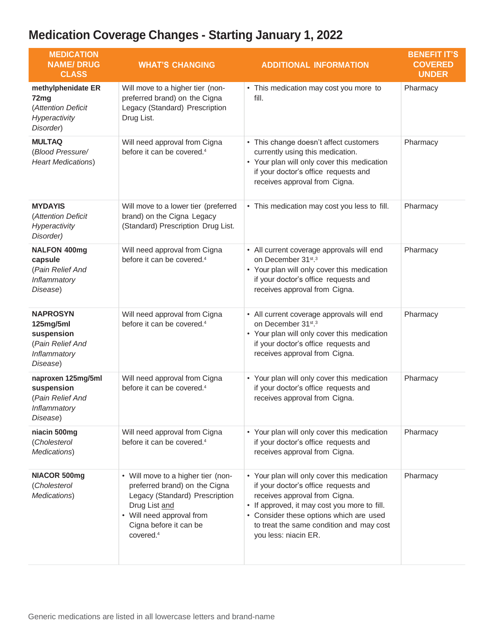| <b>MEDICATION</b><br><b>NAME/DRUG</b><br><b>CLASS</b>                                      | <b>WHAT'S CHANGING</b>                                                                                                                                                                                 | <b>ADDITIONAL INFORMATION</b>                                                                                                                                                                                                                                                       | <b>BENEFIT IT'S</b><br><b>COVERED</b><br><b>UNDER</b> |
|--------------------------------------------------------------------------------------------|--------------------------------------------------------------------------------------------------------------------------------------------------------------------------------------------------------|-------------------------------------------------------------------------------------------------------------------------------------------------------------------------------------------------------------------------------------------------------------------------------------|-------------------------------------------------------|
| methylphenidate ER<br>72mg<br>(Attention Deficit<br>Hyperactivity<br>Disorder)             | Will move to a higher tier (non-<br>preferred brand) on the Cigna<br>Legacy (Standard) Prescription<br>Drug List.                                                                                      | • This medication may cost you more to<br>fill.                                                                                                                                                                                                                                     | Pharmacy                                              |
| <b>MULTAQ</b><br>(Blood Pressure/<br><b>Heart Medications)</b>                             | Will need approval from Cigna<br>before it can be covered. <sup>4</sup>                                                                                                                                | • This change doesn't affect customers<br>currently using this medication.<br>• Your plan will only cover this medication<br>if your doctor's office requests and<br>receives approval from Cigna.                                                                                  | Pharmacy                                              |
| <b>MYDAYIS</b><br>(Attention Deficit<br>Hyperactivity<br>Disorder)                         | Will move to a lower tier (preferred<br>brand) on the Cigna Legacy<br>(Standard) Prescription Drug List.                                                                                               | • This medication may cost you less to fill.                                                                                                                                                                                                                                        | Pharmacy                                              |
| <b>NALFON 400mg</b><br>capsule<br>(Pain Relief And<br>Inflammatory<br>Disease)             | Will need approval from Cigna<br>before it can be covered. <sup>4</sup>                                                                                                                                | • All current coverage approvals will end<br>on December 31st.3<br>• Your plan will only cover this medication<br>if your doctor's office requests and<br>receives approval from Cigna.                                                                                             | Pharmacy                                              |
| <b>NAPROSYN</b><br>125mg/5ml<br>suspension<br>(Pain Relief And<br>Inflammatory<br>Disease) | Will need approval from Cigna<br>before it can be covered. <sup>4</sup>                                                                                                                                | • All current coverage approvals will end<br>on December 31st.3<br>• Your plan will only cover this medication<br>if your doctor's office requests and<br>receives approval from Cigna.                                                                                             | Pharmacy                                              |
| naproxen 125mg/5ml<br>suspension<br>(Pain Relief And<br>Inflammatory<br>Disease)           | Will need approval from Cigna<br>before it can be covered. <sup>4</sup>                                                                                                                                | • Your plan will only cover this medication<br>if your doctor's office requests and<br>receives approval from Cigna.                                                                                                                                                                | Pharmacy                                              |
| niacin 500mg<br>(Cholesterol<br>Medications)                                               | Will need approval from Cigna<br>before it can be covered. <sup>4</sup>                                                                                                                                | • Your plan will only cover this medication<br>if your doctor's office requests and<br>receives approval from Cigna.                                                                                                                                                                | Pharmacy                                              |
| NIACOR 500mg<br>(Cholesterol<br>Medications)                                               | • Will move to a higher tier (non-<br>preferred brand) on the Cigna<br>Legacy (Standard) Prescription<br>Drug List and<br>• Will need approval from<br>Cigna before it can be<br>covered. <sup>4</sup> | • Your plan will only cover this medication<br>if your doctor's office requests and<br>receives approval from Cigna.<br>• If approved, it may cost you more to fill.<br>• Consider these options which are used<br>to treat the same condition and may cost<br>you less: niacin ER. | Pharmacy                                              |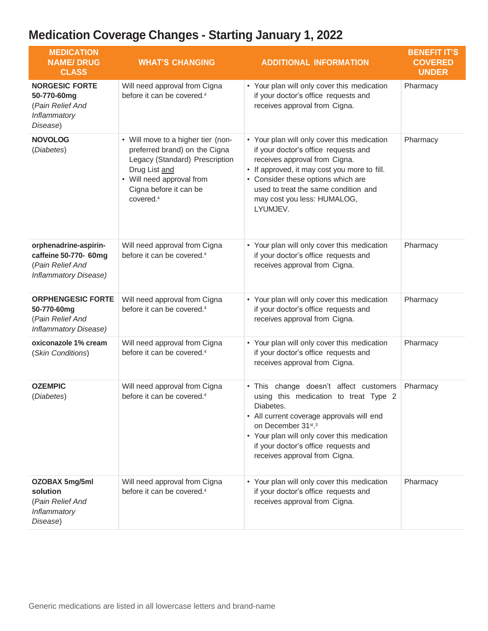| <b>MEDICATION</b><br><b>NAME/DRUG</b><br><b>CLASS</b>                                       | <b>WHAT'S CHANGING</b>                                                                                                                                                                                 | <b>ADDITIONAL INFORMATION</b>                                                                                                                                                                                                                                                                 | <b>BENEFIT IT'S</b><br><b>COVERED</b><br><b>UNDER</b> |
|---------------------------------------------------------------------------------------------|--------------------------------------------------------------------------------------------------------------------------------------------------------------------------------------------------------|-----------------------------------------------------------------------------------------------------------------------------------------------------------------------------------------------------------------------------------------------------------------------------------------------|-------------------------------------------------------|
| <b>NORGESIC FORTE</b><br>50-770-60mg<br>(Pain Relief And<br>Inflammatory<br>Disease)        | Will need approval from Cigna<br>before it can be covered. <sup>4</sup>                                                                                                                                | • Your plan will only cover this medication<br>if your doctor's office requests and<br>receives approval from Cigna.                                                                                                                                                                          | Pharmacy                                              |
| <b>NOVOLOG</b><br>(Diabetes)                                                                | • Will move to a higher tier (non-<br>preferred brand) on the Cigna<br>Legacy (Standard) Prescription<br>Drug List and<br>• Will need approval from<br>Cigna before it can be<br>covered. <sup>4</sup> | • Your plan will only cover this medication<br>if your doctor's office requests and<br>receives approval from Cigna.<br>• If approved, it may cost you more to fill.<br>• Consider these options which are<br>used to treat the same condition and<br>may cost you less: HUMALOG,<br>LYUMJEV. | Pharmacy                                              |
| orphenadrine-aspirin-<br>caffeine 50-770- 60mg<br>(Pain Relief And<br>Inflammatory Disease) | Will need approval from Cigna<br>before it can be covered. <sup>4</sup>                                                                                                                                | • Your plan will only cover this medication<br>if your doctor's office requests and<br>receives approval from Cigna.                                                                                                                                                                          | Pharmacy                                              |
| <b>ORPHENGESIC FORTE</b><br>50-770-60mg<br>(Pain Relief And<br>Inflammatory Disease)        | Will need approval from Cigna<br>before it can be covered. <sup>4</sup>                                                                                                                                | • Your plan will only cover this medication<br>if your doctor's office requests and<br>receives approval from Cigna.                                                                                                                                                                          | Pharmacy                                              |
| oxiconazole 1% cream<br>(Skin Conditions)                                                   | Will need approval from Cigna<br>before it can be covered. <sup>4</sup>                                                                                                                                | • Your plan will only cover this medication<br>if your doctor's office requests and<br>receives approval from Cigna.                                                                                                                                                                          | Pharmacy                                              |
| <b>OZEMPIC</b><br>(Diabetes)                                                                | Will need approval from Cigna<br>before it can be covered. <sup>4</sup>                                                                                                                                | • This change doesn't affect customers<br>using this medication to treat Type 2<br>Diabetes.<br>• All current coverage approvals will end<br>on December 31st.3<br>• Your plan will only cover this medication<br>if your doctor's office requests and<br>receives approval from Cigna.       | Pharmacy                                              |
| OZOBAX 5mg/5ml<br>solution<br>(Pain Relief And<br>Inflammatory<br>Disease)                  | Will need approval from Cigna<br>before it can be covered. <sup>4</sup>                                                                                                                                | • Your plan will only cover this medication<br>if your doctor's office requests and<br>receives approval from Cigna.                                                                                                                                                                          | Pharmacy                                              |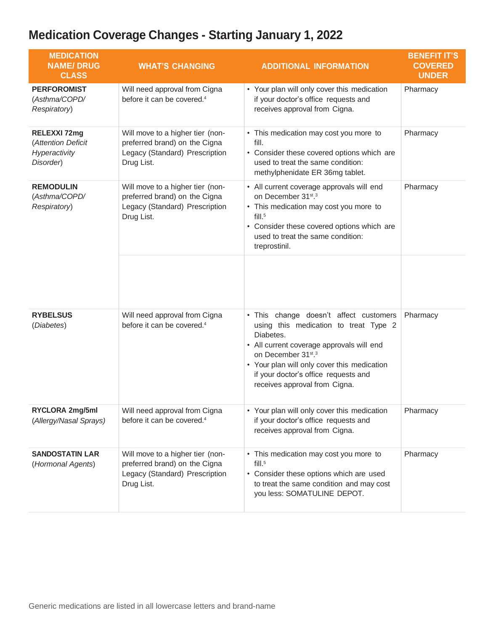| <b>MEDICATION</b><br><b>NAME/DRUG</b><br><b>CLASS</b>                   | <b>WHAT'S CHANGING</b>                                                                                            | <b>ADDITIONAL INFORMATION</b>                                                                                                                                                                                                                                                           | <b>BENEFIT IT'S</b><br><b>COVERED</b><br><b>UNDER</b> |
|-------------------------------------------------------------------------|-------------------------------------------------------------------------------------------------------------------|-----------------------------------------------------------------------------------------------------------------------------------------------------------------------------------------------------------------------------------------------------------------------------------------|-------------------------------------------------------|
| <b>PERFOROMIST</b><br>(Asthma/COPD/<br>Respiratory)                     | Will need approval from Cigna<br>before it can be covered. <sup>4</sup>                                           | • Your plan will only cover this medication<br>if your doctor's office requests and<br>receives approval from Cigna.                                                                                                                                                                    | Pharmacy                                              |
| <b>RELEXXI 72mg</b><br>(Attention Deficit<br>Hyperactivity<br>Disorder) | Will move to a higher tier (non-<br>preferred brand) on the Cigna<br>Legacy (Standard) Prescription<br>Drug List. | • This medication may cost you more to<br>fill.<br>• Consider these covered options which are<br>used to treat the same condition:<br>methylphenidate ER 36mg tablet.                                                                                                                   | Pharmacy                                              |
| <b>REMODULIN</b><br>(Asthma/COPD/<br>Respiratory)                       | Will move to a higher tier (non-<br>preferred brand) on the Cigna<br>Legacy (Standard) Prescription<br>Drug List. | • All current coverage approvals will end<br>on December 31st.3<br>• This medication may cost you more to<br>$fill.^5$<br>• Consider these covered options which are<br>used to treat the same condition:<br>treprostinil.                                                              | Pharmacy                                              |
|                                                                         |                                                                                                                   |                                                                                                                                                                                                                                                                                         |                                                       |
| <b>RYBELSUS</b><br>(Diabetes)                                           | Will need approval from Cigna<br>before it can be covered. <sup>4</sup>                                           | • This change doesn't affect customers<br>using this medication to treat Type 2<br>Diabetes.<br>• All current coverage approvals will end<br>on December 31st.3<br>• Your plan will only cover this medication<br>if your doctor's office requests and<br>receives approval from Cigna. | Pharmacy                                              |
| RYCLORA 2mg/5ml<br>(Allergy/Nasal Sprays)                               | Will need approval from Cigna<br>before it can be covered. <sup>4</sup>                                           | • Your plan will only cover this medication<br>if your doctor's office requests and<br>receives approval from Cigna.                                                                                                                                                                    | Pharmacy                                              |
| <b>SANDOSTATIN LAR</b><br>(Hormonal Agents)                             | Will move to a higher tier (non-<br>preferred brand) on the Cigna<br>Legacy (Standard) Prescription<br>Drug List. | • This medication may cost you more to<br>$fill.^5$<br>• Consider these options which are used<br>to treat the same condition and may cost<br>you less: SOMATULINE DEPOT.                                                                                                               | Pharmacy                                              |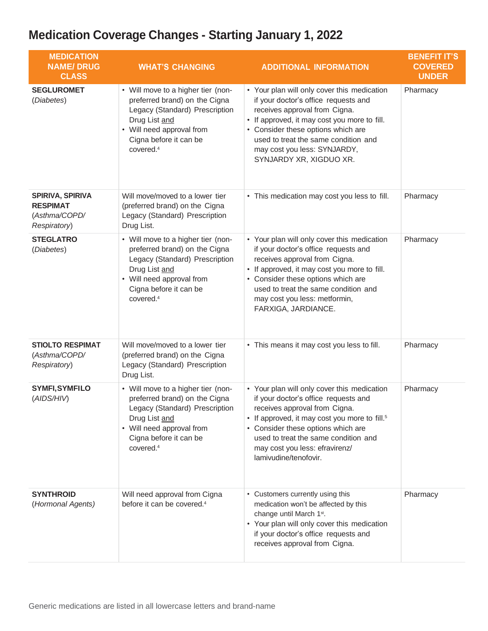| <b>MEDICATION</b><br><b>NAME/DRUG</b><br><b>CLASS</b>                       | <b>WHAT'S CHANGING</b>                                                                                                                                                                                 | <b>ADDITIONAL INFORMATION</b>                                                                                                                                                                                                                                                                                              | <b>BENEFIT IT'S</b><br><b>COVERED</b><br><b>UNDER</b> |
|-----------------------------------------------------------------------------|--------------------------------------------------------------------------------------------------------------------------------------------------------------------------------------------------------|----------------------------------------------------------------------------------------------------------------------------------------------------------------------------------------------------------------------------------------------------------------------------------------------------------------------------|-------------------------------------------------------|
| <b>SEGLUROMET</b><br>(Diabetes)                                             | • Will move to a higher tier (non-<br>preferred brand) on the Cigna<br>Legacy (Standard) Prescription<br>Drug List and<br>• Will need approval from<br>Cigna before it can be<br>covered. <sup>4</sup> | • Your plan will only cover this medication<br>if your doctor's office requests and<br>receives approval from Cigna.<br>• If approved, it may cost you more to fill.<br>• Consider these options which are<br>used to treat the same condition and<br>may cost you less: SYNJARDY,<br>SYNJARDY XR, XIGDUO XR.              | Pharmacy                                              |
| <b>SPIRIVA, SPIRIVA</b><br><b>RESPIMAT</b><br>(Asthma/COPD/<br>Respiratory) | Will move/moved to a lower tier<br>(preferred brand) on the Cigna<br>Legacy (Standard) Prescription<br>Drug List.                                                                                      | • This medication may cost you less to fill.                                                                                                                                                                                                                                                                               | Pharmacy                                              |
| <b>STEGLATRO</b><br>(Diabetes)                                              | • Will move to a higher tier (non-<br>preferred brand) on the Cigna<br>Legacy (Standard) Prescription<br>Drug List and<br>• Will need approval from<br>Cigna before it can be<br>covered. <sup>4</sup> | • Your plan will only cover this medication<br>if your doctor's office requests and<br>receives approval from Cigna.<br>• If approved, it may cost you more to fill.<br>• Consider these options which are<br>used to treat the same condition and<br>may cost you less: metformin,<br>FARXIGA, JARDIANCE.                 | Pharmacy                                              |
| <b>STIOLTO RESPIMAT</b><br>(Asthma/COPD/<br>Respiratory)                    | Will move/moved to a lower tier<br>(preferred brand) on the Cigna<br>Legacy (Standard) Prescription<br>Drug List.                                                                                      | • This means it may cost you less to fill.                                                                                                                                                                                                                                                                                 | Pharmacy                                              |
| <b>SYMFI, SYMFILO</b><br>(AIDS/HIV)                                         | • Will move to a higher tier (non-<br>preferred brand) on the Cigna<br>Legacy (Standard) Prescription<br>Drug List and<br>• Will need approval from<br>Cigna before it can be<br>covered. <sup>4</sup> | • Your plan will only cover this medication<br>if your doctor's office requests and<br>receives approval from Cigna.<br>• If approved, it may cost you more to fill. <sup>5</sup><br>• Consider these options which are<br>used to treat the same condition and<br>may cost you less: efravirenz/<br>lamivudine/tenofovir. | Pharmacy                                              |
| <b>SYNTHROID</b><br>(Hormonal Agents)                                       | Will need approval from Cigna<br>before it can be covered. <sup>4</sup>                                                                                                                                | • Customers currently using this<br>medication won't be affected by this<br>change until March 1st.<br>• Your plan will only cover this medication<br>if your doctor's office requests and<br>receives approval from Cigna.                                                                                                | Pharmacy                                              |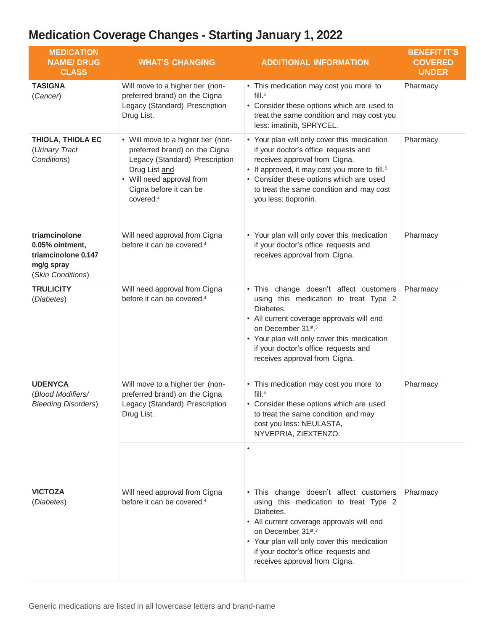| <b>MEDICATION</b><br><b>NAME/DRUG</b><br><b>CLASS</b>                                      | <b>WHAT'S CHANGING</b>                                                                                                                                                                                 | <b>ADDITIONAL INFORMATION</b>                                                                                                                                                                                                                                                                    | <b>BENEFIT IT'S</b><br><b>COVERED</b><br><b>UNDER</b> |
|--------------------------------------------------------------------------------------------|--------------------------------------------------------------------------------------------------------------------------------------------------------------------------------------------------------|--------------------------------------------------------------------------------------------------------------------------------------------------------------------------------------------------------------------------------------------------------------------------------------------------|-------------------------------------------------------|
| <b>TASIGNA</b><br>(Cancer)                                                                 | Will move to a higher tier (non-<br>preferred brand) on the Cigna<br>Legacy (Standard) Prescription<br>Drug List.                                                                                      | • This medication may cost you more to<br>$fill.^5$<br>• Consider these options which are used to<br>treat the same condition and may cost you<br>less: imatinib, SPRYCEL.                                                                                                                       | Pharmacy                                              |
| THIOLA, THIOLA EC<br>(Urinary Tract<br>Conditions)                                         | • Will move to a higher tier (non-<br>preferred brand) on the Cigna<br>Legacy (Standard) Prescription<br>Drug List and<br>• Will need approval from<br>Cigna before it can be<br>covered. <sup>4</sup> | • Your plan will only cover this medication<br>if your doctor's office requests and<br>receives approval from Cigna.<br>• If approved, it may cost you more to fill. <sup>5</sup><br>• Consider these options which are used<br>to treat the same condition and may cost<br>you less: tiopronin. | Pharmacy                                              |
| triamcinolone<br>0.05% ointment,<br>triamcinolone 0.147<br>mg/g spray<br>(Skin Conditions) | Will need approval from Cigna<br>before it can be covered. <sup>4</sup>                                                                                                                                | • Your plan will only cover this medication<br>if your doctor's office requests and<br>receives approval from Cigna.                                                                                                                                                                             | Pharmacy                                              |
| <b>TRULICITY</b><br>(Diabetes)                                                             | Will need approval from Cigna<br>before it can be covered. <sup>4</sup>                                                                                                                                | • This change doesn't affect customers<br>using this medication to treat Type 2<br>Diabetes.<br>• All current coverage approvals will end<br>on December 31st.3<br>• Your plan will only cover this medication<br>if your doctor's office requests and<br>receives approval from Cigna.          | Pharmacy                                              |
| <b>UDENYCA</b><br>(Blood Modifiers/<br><b>Bleeding Disorders)</b>                          | Will move to a higher tier (non-<br>preferred brand) on the Cigna<br>Legacy (Standard) Prescription<br>Drug List.                                                                                      | • This medication may cost you more to<br>fill. <sup>4</sup><br>• Consider these options which are used<br>to treat the same condition and may<br>cost you less: NEULASTA,<br>NYVEPRIA, ZIEXTENZO.                                                                                               | Pharmacy                                              |
| <b>VICTOZA</b><br>(Diabetes)                                                               | Will need approval from Cigna<br>before it can be covered. <sup>4</sup>                                                                                                                                | . This change doesn't affect customers<br>using this medication to treat Type 2<br>Diabetes.<br>• All current coverage approvals will end<br>on December 31st.3<br>• Your plan will only cover this medication<br>if your doctor's office requests and<br>receives approval from Cigna.          | Pharmacy                                              |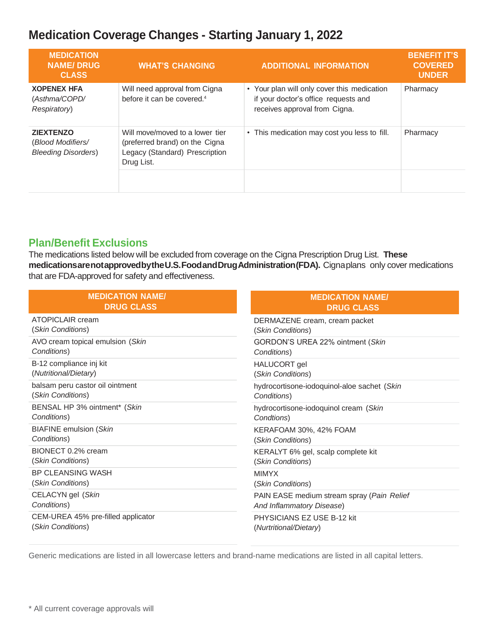| <b>MEDICATION</b><br><b>NAME/DRUG</b><br><b>CLASS</b>                | <b>WHAT'S CHANGING</b>                                                                                            | <b>ADDITIONAL INFORMATION</b>                                                                                        | <b>BENEFIT IT'S</b><br><b>COVERED</b><br><b>UNDER</b> |
|----------------------------------------------------------------------|-------------------------------------------------------------------------------------------------------------------|----------------------------------------------------------------------------------------------------------------------|-------------------------------------------------------|
| <b>XOPENEX HFA</b><br>(Asthma/COPD/<br>Respiratory)                  | Will need approval from Cigna<br>before it can be covered. <sup>4</sup>                                           | • Your plan will only cover this medication<br>if your doctor's office requests and<br>receives approval from Cigna. | Pharmacy                                              |
| <b>ZIEXTENZO</b><br>(Blood Modifiers/<br><b>Bleeding Disorders</b> ) | Will move/moved to a lower tier<br>(preferred brand) on the Cigna<br>Legacy (Standard) Prescription<br>Drug List. | • This medication may cost you less to fill.                                                                         | Pharmacy                                              |
|                                                                      |                                                                                                                   |                                                                                                                      |                                                       |

#### **Plan/Benefit Exclusions**

The medications listed below will be excluded from coverage on the Cigna Prescription Drug List. **These medicationsarenotapprovedbytheU.S.FoodandDrugAdministration(FDA).** Cignaplans only cover medications that are FDA-approved for safety and effectiveness.

| <b>MEDICATION NAME/</b>            | <b>MEDICATION NAME/</b>                     |
|------------------------------------|---------------------------------------------|
| <b>DRUG CLASS</b>                  | <b>DRUG CLASS</b>                           |
| <b>ATOPICLAIR cream</b>            | DERMAZENE cream, cream packet               |
| (Skin Conditions)                  | (Skin Conditions)                           |
| AVO cream topical emulsion (Skin   | GORDON'S UREA 22% ointment (Skin            |
| Conditions)                        | Conditions)                                 |
| B-12 compliance inj kit            | HALUCORT gel                                |
| (Nutritional/Dietary)              | (Skin Conditions)                           |
| balsam peru castor oil ointment    | hydrocortisone-iodoquinol-aloe sachet (Skin |
| (Skin Conditions)                  | Conditions)                                 |
| BENSAL HP 3% ointment* (Skin       | hydrocortisone-iodoquinol cream (Skin       |
| Conditions)                        | Condtions)                                  |
| <b>BIAFINE</b> emulsion (Skin      | KERAFOAM 30%, 42% FOAM                      |
| Conditions)                        | (Skin Conditions)                           |
| BIONECT 0.2% cream                 | KERALYT 6% gel, scalp complete kit          |
| (Skin Conditions)                  | (Skin Conditions)                           |
| BP CLEANSING WASH                  | <b>MIMYX</b>                                |
| (Skin Conditions)                  | (Skin Conditions)                           |
| CELACYN gel (Skin                  | PAIN EASE medium stream spray (Pain Relief  |
| Conditions)                        | And Inflammatory Disease)                   |
| CEM-UREA 45% pre-filled applicator | PHYSICIANS EZ USE B-12 kit                  |
| (Skin Conditions)                  | (Nurtritional/Dietary)                      |

Generic medications are listed in all lowercase letters and brand-name medications are listed in all capital letters.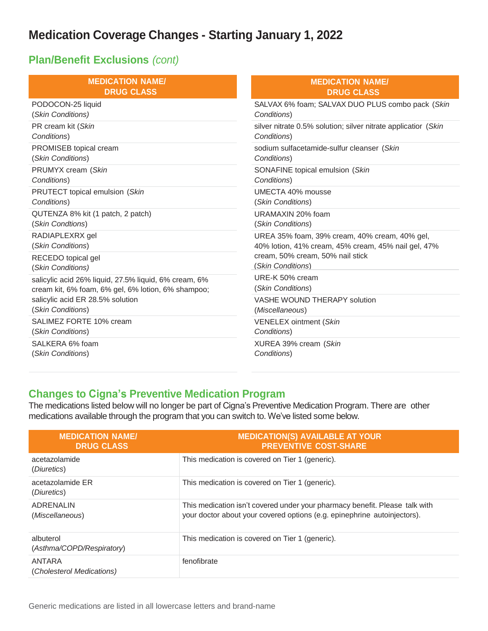#### **Plan/Benefit Exclusions** *(cont)*

| <b>MEDICATION NAME/</b>                               | <b>MEDICATION NAME/</b>                                                                                                                                       |  |
|-------------------------------------------------------|---------------------------------------------------------------------------------------------------------------------------------------------------------------|--|
| <b>DRUG CLASS</b>                                     | <b>DRUG CLASS</b>                                                                                                                                             |  |
| PODOCON-25 liquid                                     | SALVAX 6% foam; SALVAX DUO PLUS combo pack (Skin                                                                                                              |  |
| (Skin Conditions)                                     | Conditions)                                                                                                                                                   |  |
| PR cream kit (Skin                                    | silver nitrate 0.5% solution; silver nitrate applicatior (Skin                                                                                                |  |
| Conditions)                                           | Conditions)                                                                                                                                                   |  |
| PROMISEB topical cream                                | sodium sulfacetamide-sulfur cleanser (Skin                                                                                                                    |  |
| (Skin Conditions)                                     | Conditions)                                                                                                                                                   |  |
| PRUMYX cream (Skin                                    | SONAFINE topical emulsion (Skin                                                                                                                               |  |
| Conditions)                                           | Conditions)                                                                                                                                                   |  |
| PRUTECT topical emulsion (Skin                        | UMECTA 40% mousse                                                                                                                                             |  |
| Conditions)                                           | (Skin Conditions)                                                                                                                                             |  |
| QUTENZA 8% kit (1 patch, 2 patch)                     | URAMAXIN 20% foam                                                                                                                                             |  |
| (Skin Condtions)                                      | (Skin Conditions)                                                                                                                                             |  |
| RADIAPLEXRX gel<br>(Skin Conditions)                  | UREA 35% foam, 39% cream, 40% cream, 40% gel,<br>40% lotion, 41% cream, 45% cream, 45% nail gel, 47%<br>cream, 50% cream, 50% nail stick<br>(Skin Conditions) |  |
| RECEDO topical gel<br>(Skin Conditions)               |                                                                                                                                                               |  |
| salicylic acid 26% liquid, 27.5% liquid, 6% cream, 6% | URE-K 50% cream                                                                                                                                               |  |
| cream kit, 6% foam, 6% gel, 6% lotion, 6% shampoo;    | (Skin Conditions)                                                                                                                                             |  |
| salicylic acid ER 28.5% solution                      | VASHE WOUND THERAPY solution                                                                                                                                  |  |
| (Skin Conditions)                                     | (Miscellaneous)                                                                                                                                               |  |
| SALIMEZ FORTE 10% cream                               | <b>VENELEX ointment (Skin</b>                                                                                                                                 |  |
| (Skin Conditions)                                     | Conditions)                                                                                                                                                   |  |
| SALKERA 6% foam                                       | XUREA 39% cream (Skin                                                                                                                                         |  |
| (Skin Conditions)                                     | Conditions)                                                                                                                                                   |  |

#### **Changes to Cigna's Preventive Medication Program**

The medications listed below will no longer be part of Cigna's Preventive Medication Program. There are other medications available through the program that you can switch to. We've listed some below.

| <b>MEDICATION NAME/</b><br><b>DRUG CLASS</b> | <b>MEDICATION(S) AVAILABLE AT YOUR</b><br><b>PREVENTIVE COST-SHARE</b>                                                                                  |
|----------------------------------------------|---------------------------------------------------------------------------------------------------------------------------------------------------------|
| acetazolamide<br>(Diuretics)                 | This medication is covered on Tier 1 (generic).                                                                                                         |
| acetazolamide ER<br>(Diuretics)              | This medication is covered on Tier 1 (generic).                                                                                                         |
| <b>ADRENALIN</b><br>(Miscellaneous)          | This medication isn't covered under your pharmacy benefit. Please talk with<br>your doctor about your covered options (e.g. epinephrine autoinjectors). |
| albuterol<br>(Asthma/COPD/Respiratory)       | This medication is covered on Tier 1 (generic).                                                                                                         |
| ANTARA<br>(Cholesterol Medications)          | fenofibrate                                                                                                                                             |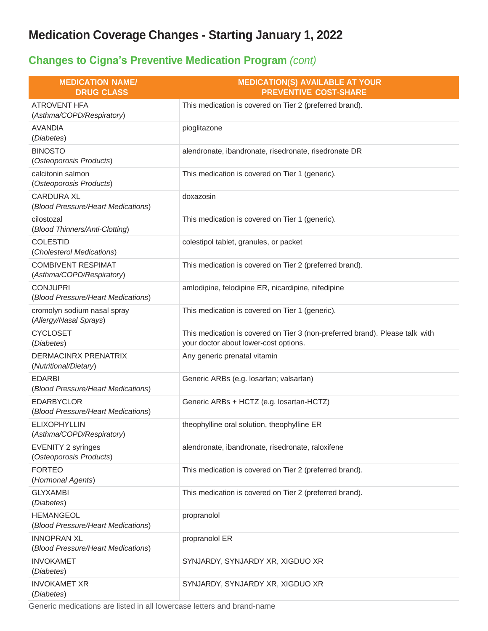### **Changes to Cigna's Preventive Medication Program** *(cont)*

| <b>MEDICATION NAME/</b><br><b>DRUG CLASS</b>             | <b>MEDICATION(S) AVAILABLE AT YOUR</b><br><b>PREVENTIVE COST-SHARE</b>                                                |
|----------------------------------------------------------|-----------------------------------------------------------------------------------------------------------------------|
| <b>ATROVENT HFA</b><br>(Asthma/COPD/Respiratory)         | This medication is covered on Tier 2 (preferred brand).                                                               |
| <b>AVANDIA</b><br>(Diabetes)                             | pioglitazone                                                                                                          |
| <b>BINOSTO</b><br>(Osteoporosis Products)                | alendronate, ibandronate, risedronate, risedronate DR                                                                 |
| calcitonin salmon<br>(Osteoporosis Products)             | This medication is covered on Tier 1 (generic).                                                                       |
| <b>CARDURA XL</b><br>(Blood Pressure/Heart Medications)  | doxazosin                                                                                                             |
| cilostozal<br>(Blood Thinners/Anti-Clotting)             | This medication is covered on Tier 1 (generic).                                                                       |
| <b>COLESTID</b><br>(Cholesterol Medications)             | colestipol tablet, granules, or packet                                                                                |
| <b>COMBIVENT RESPIMAT</b><br>(Asthma/COPD/Respiratory)   | This medication is covered on Tier 2 (preferred brand).                                                               |
| <b>CONJUPRI</b><br>(Blood Pressure/Heart Medications)    | amlodipine, felodipine ER, nicardipine, nifedipine                                                                    |
| cromolyn sodium nasal spray<br>(Allergy/Nasal Sprays)    | This medication is covered on Tier 1 (generic).                                                                       |
| <b>CYCLOSET</b><br>(Diabetes)                            | This medication is covered on Tier 3 (non-preferred brand). Please talk with<br>your doctor about lower-cost options. |
| DERMACINRX PRENATRIX<br>(Nutritional/Dietary)            | Any generic prenatal vitamin                                                                                          |
| <b>EDARBI</b><br>(Blood Pressure/Heart Medications)      | Generic ARBs (e.g. losartan; valsartan)                                                                               |
| <b>EDARBYCLOR</b><br>(Blood Pressure/Heart Medications)  | Generic ARBs + HCTZ (e.g. losartan-HCTZ)                                                                              |
| <b>ELIXOPHYLLIN</b><br>(Asthma/COPD/Respiratory)         | theophylline oral solution, theophylline ER                                                                           |
| <b>EVENITY 2 syringes</b><br>(Osteoporosis Products)     | alendronate, ibandronate, risedronate, raloxifene                                                                     |
| <b>FORTEO</b><br>(Hormonal Agents)                       | This medication is covered on Tier 2 (preferred brand).                                                               |
| <b>GLYXAMBI</b><br>(Diabetes)                            | This medication is covered on Tier 2 (preferred brand).                                                               |
| <b>HEMANGEOL</b><br>(Blood Pressure/Heart Medications)   | propranolol                                                                                                           |
| <b>INNOPRAN XL</b><br>(Blood Pressure/Heart Medications) | propranolol ER                                                                                                        |
| <b>INVOKAMET</b><br>(Diabetes)                           | SYNJARDY, SYNJARDY XR, XIGDUO XR                                                                                      |
| <b>INVOKAMET XR</b><br>(Diabetes)                        | SYNJARDY, SYNJARDY XR, XIGDUO XR                                                                                      |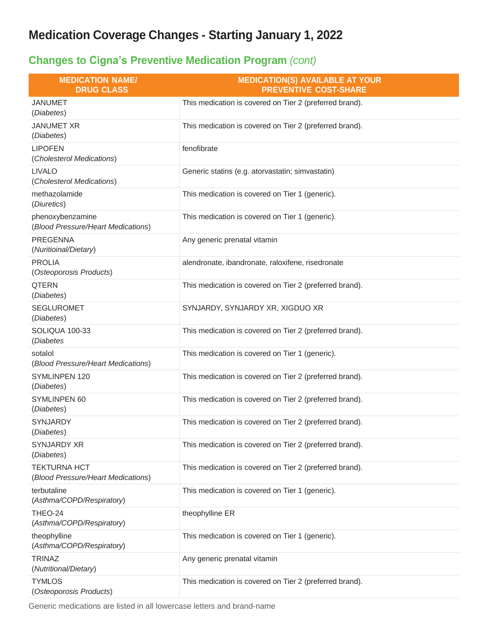### **Changes to Cigna's Preventive Medication Program** *(cont)*

| <b>MEDICATION NAME/</b><br><b>DRUG CLASS</b>              | <b>MEDICATION(S) AVAILABLE AT YOUR</b><br><b>PREVENTIVE COST-SHARE</b> |
|-----------------------------------------------------------|------------------------------------------------------------------------|
| <b>JANUMET</b><br>(Diabetes)                              | This medication is covered on Tier 2 (preferred brand).                |
| <b>JANUMET XR</b><br>(Diabetes)                           | This medication is covered on Tier 2 (preferred brand).                |
| <b>LIPOFEN</b><br>(Cholesterol Medications)               | fenofibrate                                                            |
| <b>LIVALO</b><br>(Cholesterol Medications)                | Generic statins (e.g. atorvastatin; simvastatin)                       |
| methazolamide<br>(Diuretics)                              | This medication is covered on Tier 1 (generic).                        |
| phenoxybenzamine<br>(Blood Pressure/Heart Medications)    | This medication is covered on Tier 1 (generic).                        |
| <b>PREGENNA</b><br>(Nuritioinal/Dietary)                  | Any generic prenatal vitamin                                           |
| <b>PROLIA</b><br>(Osteoporosis Products)                  | alendronate, ibandronate, raloxifene, risedronate                      |
| <b>QTERN</b><br>(Diabetes)                                | This medication is covered on Tier 2 (preferred brand).                |
| <b>SEGLUROMET</b><br>(Diabetes)                           | SYNJARDY, SYNJARDY XR, XIGDUO XR                                       |
| SOLIQUA 100-33<br>(Diabetes                               | This medication is covered on Tier 2 (preferred brand).                |
| sotalol<br>(Blood Pressure/Heart Medications)             | This medication is covered on Tier 1 (generic).                        |
| SYMLINPEN 120<br>(Diabetes)                               | This medication is covered on Tier 2 (preferred brand).                |
| SYMLINPEN 60<br>(Diabetes)                                | This medication is covered on Tier 2 (preferred brand).                |
| <b>SYNJARDY</b><br>(Diabetes)                             | This medication is covered on Tier 2 (preferred brand).                |
| <b>SYNJARDY XR</b><br>(Diabetes)                          | This medication is covered on Tier 2 (preferred brand).                |
| <b>TEKTURNA HCT</b><br>(Blood Pressure/Heart Medications) | This medication is covered on Tier 2 (preferred brand).                |
| terbutaline<br>(Asthma/COPD/Respiratory)                  | This medication is covered on Tier 1 (generic).                        |
| THEO-24<br>(Asthma/COPD/Respiratory)                      | theophylline ER                                                        |
| theophylline<br>(Asthma/COPD/Respiratory)                 | This medication is covered on Tier 1 (generic).                        |
| <b>TRINAZ</b><br>(Nutritional/Dietary)                    | Any generic prenatal vitamin                                           |
| <b>TYMLOS</b><br>Osteoporosis Products)                   | This medication is covered on Tier 2 (preferred brand).                |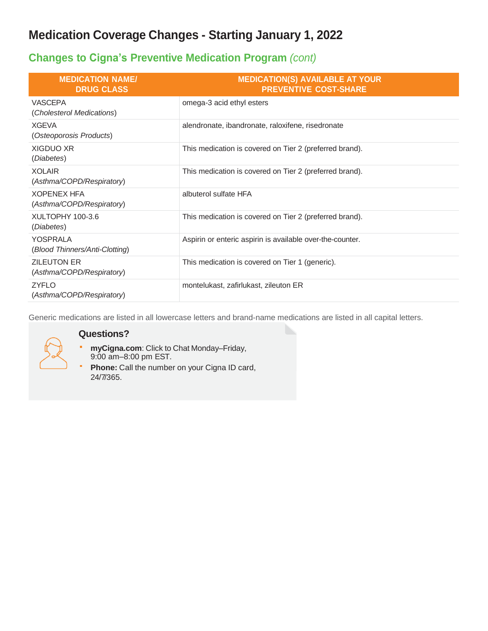#### **Changes to Cigna's Preventive Medication Program** *(cont)*

| <b>MEDICATION NAME/</b><br><b>DRUG CLASS</b>    | <b>MEDICATION(S) AVAILABLE AT YOUR</b><br><b>PREVENTIVE COST-SHARE</b> |
|-------------------------------------------------|------------------------------------------------------------------------|
| VASCEPA<br>(Cholesterol Medications)            | omega-3 acid ethyl esters                                              |
| <b>XGEVA</b><br>(Osteoporosis Products)         | alendronate, ibandronate, raloxifene, risedronate                      |
| XIGDUO XR<br>(Diabetes)                         | This medication is covered on Tier 2 (preferred brand).                |
| <b>XOLAIR</b><br>(Asthma/COPD/Respiratory)      | This medication is covered on Tier 2 (preferred brand).                |
| <b>XOPENEX HFA</b><br>(Asthma/COPD/Respiratory) | albuterol sulfate HFA                                                  |
| XULTOPHY 100-3.6<br>(Diabetes)                  | This medication is covered on Tier 2 (preferred brand).                |
| YOSPRALA<br>(Blood Thinners/Anti-Clotting)      | Aspirin or enteric aspirin is available over-the-counter.              |
| <b>ZILEUTON ER</b><br>(Asthma/COPD/Respiratory) | This medication is covered on Tier 1 (generic).                        |
| <b>ZYFLO</b><br>(Asthma/COPD/Respiratory)       | montelukast, zafirlukast, zileuton ER                                  |

Generic medications are listed in all lowercase letters and brand-name medications are listed in all capital letters.



#### **Questions?**

- **myCigna.com**: Click to Chat Monday–Friday,  $\mathbf{u}$  .
- 9:00 am–8:00 pm EST.
- **Phone:** Call the number on your Cigna ID card, ä, 24/7/365.